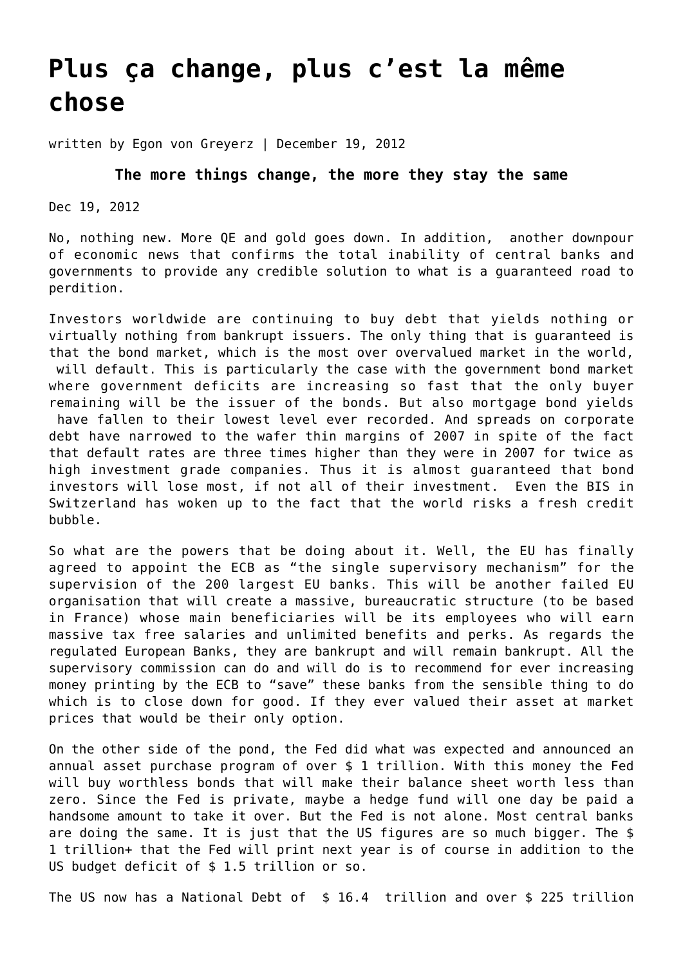## **[Plus ça change, plus c'est la même](https://goldswitzerland.com/plus-ca-change-plus-cest-la-meme-chose/) [chose](https://goldswitzerland.com/plus-ca-change-plus-cest-la-meme-chose/)**

written by Egon von Greyerz | December 19, 2012

## **The more things change, the more they stay the same**

Dec 19, 2012

No, nothing new. More QE and gold goes down. In addition, another downpour of economic news that confirms the total inability of central banks and governments to provide any credible solution to what is a guaranteed road to perdition.

Investors worldwide are continuing to buy debt that yields nothing or virtually nothing from bankrupt issuers. The only thing that is guaranteed is that the bond market, which is the most over overvalued market in the world, will default. This is particularly the case with the government bond market where government deficits are increasing so fast that the only buyer remaining will be the issuer of the bonds. But also mortgage bond yields have fallen to their lowest level ever recorded. And spreads on corporate debt have narrowed to the wafer thin margins of 2007 in spite of the fact that default rates are three times higher than they were in 2007 for twice as high investment grade companies. Thus it is almost guaranteed that bond investors will lose most, if not all of their investment. Even the BIS in Switzerland has woken up to the fact that the world risks a fresh credit bubble.

So what are the powers that be doing about it. Well, the EU has finally agreed to appoint the ECB as "the single supervisory mechanism" for the supervision of the 200 largest EU banks. This will be another failed EU organisation that will create a massive, bureaucratic structure (to be based in France) whose main beneficiaries will be its employees who will earn massive tax free salaries and unlimited benefits and perks. As regards the regulated European Banks, they are bankrupt and will remain bankrupt. All the supervisory commission can do and will do is to recommend for ever increasing money printing by the ECB to "save" these banks from the sensible thing to do which is to close down for good. If they ever valued their asset at market prices that would be their only option.

On the other side of the pond, the Fed did what was expected and announced an annual asset purchase program of over \$ 1 trillion. With this money the Fed will buy worthless bonds that will make their balance sheet worth less than zero. Since the Fed is private, maybe a hedge fund will one day be paid a handsome amount to take it over. But the Fed is not alone. Most central banks are doing the same. It is just that the US figures are so much bigger. The \$ 1 trillion+ that the Fed will print next year is of course in addition to the US budget deficit of \$ 1.5 trillion or so.

The US now has a National Debt of \$ 16.4 trillion and over \$ 225 trillion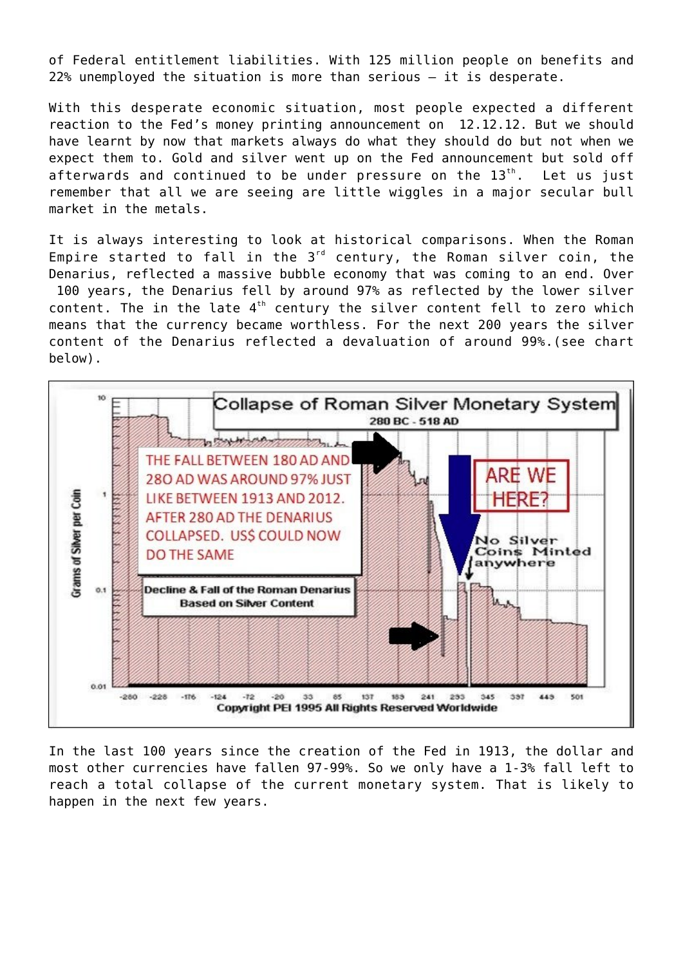of Federal entitlement liabilities. With 125 million people on benefits and 22% unemployed the situation is more than serious – it is desperate.

With this desperate economic situation, most people expected a different reaction to the Fed's money printing announcement on 12.12.12. But we should have learnt by now that markets always do what they should do but not when we expect them to. Gold and silver went up on the Fed announcement but sold off afterwards and continued to be under pressure on the  $13<sup>th</sup>$ . Let us just remember that all we are seeing are little wiggles in a major secular bull market in the metals.

It is always interesting to look at historical comparisons. When the Roman Empire started to fall in the  $3^{rd}$  century, the Roman silver coin, the Denarius, reflected a massive bubble economy that was coming to an end. Over 100 years, the Denarius fell by around 97% as reflected by the lower silver content. The in the late  $4<sup>th</sup>$  century the silver content fell to zero which means that the currency became worthless. For the next 200 years the silver content of the Denarius reflected a devaluation of around 99%.(see chart below).



In the last 100 years since the creation of the Fed in 1913, the dollar and most other currencies have fallen 97-99%. So we only have a 1-3% fall left to reach a total collapse of the current monetary system. That is likely to happen in the next few years.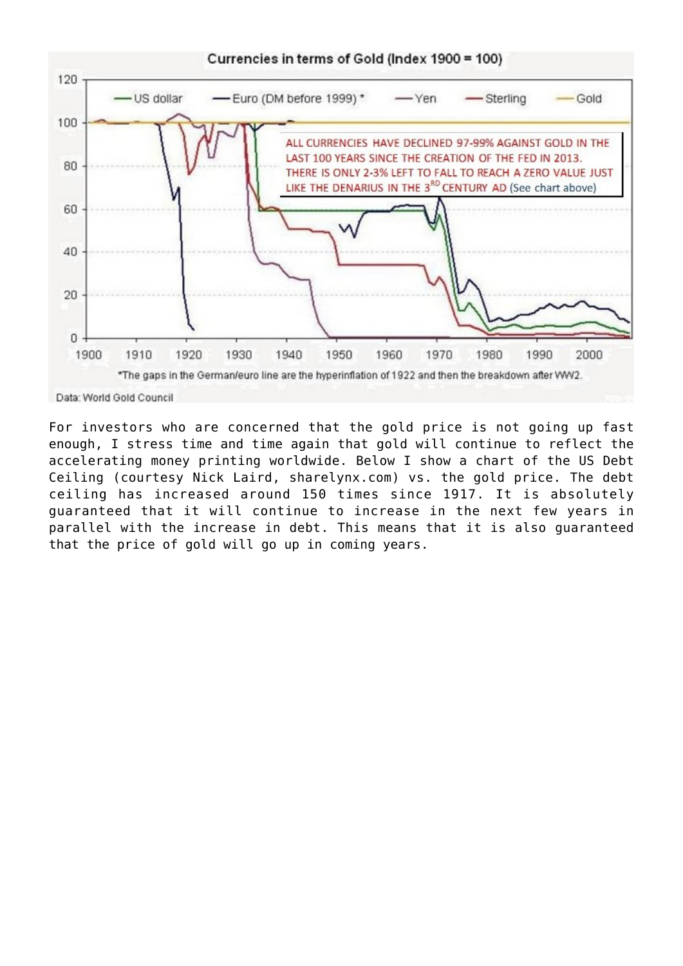

For investors who are concerned that the gold price is not going up fast enough, I stress time and time again that gold will continue to reflect the accelerating money printing worldwide. Below I show a chart of the US Debt Ceiling (courtesy [Nick Laird, sharelynx.com\)](http://www.sharelynx.com) vs. the gold price. The debt ceiling has increased around 150 times since 1917. It is absolutely guaranteed that it will continue to increase in the next few years in parallel with the increase in debt. This means that it is also guaranteed that the price of gold will go up in coming years.